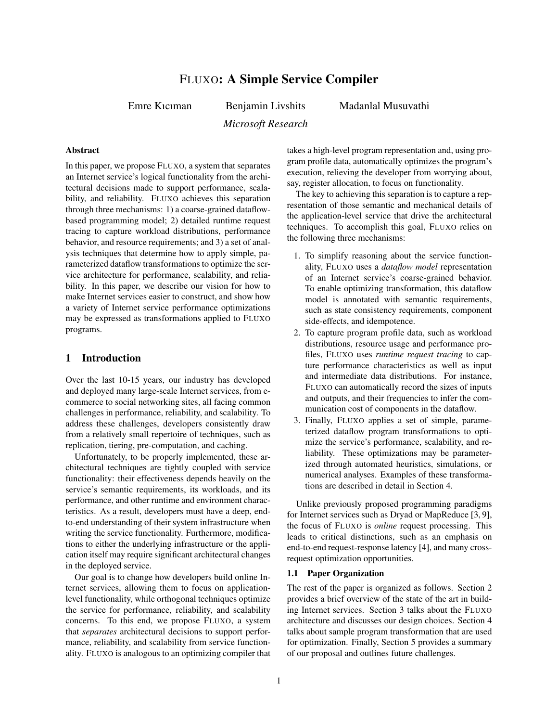# FLUXO: A Simple Service Compiler

Emre Kıcıman Benjamin Livshits

Madanlal Musuvathi

*Microsoft Research*

## Abstract

In this paper, we propose FLUXO, a system that separates an Internet service's logical functionality from the architectural decisions made to support performance, scalability, and reliability. FLUXO achieves this separation through three mechanisms: 1) a coarse-grained dataflowbased programming model; 2) detailed runtime request tracing to capture workload distributions, performance behavior, and resource requirements; and 3) a set of analysis techniques that determine how to apply simple, parameterized dataflow transformations to optimize the service architecture for performance, scalability, and reliability. In this paper, we describe our vision for how to make Internet services easier to construct, and show how a variety of Internet service performance optimizations may be expressed as transformations applied to FLUXO programs.

## 1 Introduction

Over the last 10-15 years, our industry has developed and deployed many large-scale Internet services, from ecommerce to social networking sites, all facing common challenges in performance, reliability, and scalability. To address these challenges, developers consistently draw from a relatively small repertoire of techniques, such as replication, tiering, pre-computation, and caching.

Unfortunately, to be properly implemented, these architectural techniques are tightly coupled with service functionality: their effectiveness depends heavily on the service's semantic requirements, its workloads, and its performance, and other runtime and environment characteristics. As a result, developers must have a deep, endto-end understanding of their system infrastructure when writing the service functionality. Furthermore, modifications to either the underlying infrastructure or the application itself may require significant architectural changes in the deployed service.

Our goal is to change how developers build online Internet services, allowing them to focus on applicationlevel functionality, while orthogonal techniques optimize the service for performance, reliability, and scalability concerns. To this end, we propose FLUXO, a system that *separates* architectural decisions to support performance, reliability, and scalability from service functionality. FLUXO is analogous to an optimizing compiler that takes a high-level program representation and, using program profile data, automatically optimizes the program's execution, relieving the developer from worrying about, say, register allocation, to focus on functionality.

The key to achieving this separation is to capture a representation of those semantic and mechanical details of the application-level service that drive the architectural techniques. To accomplish this goal, FLUXO relies on the following three mechanisms:

- 1. To simplify reasoning about the service functionality, FLUXO uses a *dataflow model* representation of an Internet service's coarse-grained behavior. To enable optimizing transformation, this dataflow model is annotated with semantic requirements, such as state consistency requirements, component side-effects, and idempotence.
- 2. To capture program profile data, such as workload distributions, resource usage and performance profiles, FLUXO uses *runtime request tracing* to capture performance characteristics as well as input and intermediate data distributions. For instance, FLUXO can automatically record the sizes of inputs and outputs, and their frequencies to infer the communication cost of components in the dataflow.
- 3. Finally, FLUXO applies a set of simple, parameterized dataflow program transformations to optimize the service's performance, scalability, and reliability. These optimizations may be parameterized through automated heuristics, simulations, or numerical analyses. Examples of these transformations are described in detail in Section 4.

Unlike previously proposed programming paradigms for Internet services such as Dryad or MapReduce [3, 9], the focus of FLUXO is *online* request processing. This leads to critical distinctions, such as an emphasis on end-to-end request-response latency [4], and many crossrequest optimization opportunities.

#### 1.1 Paper Organization

The rest of the paper is organized as follows. Section 2 provides a brief overview of the state of the art in building Internet services. Section 3 talks about the FLUXO architecture and discusses our design choices. Section 4 talks about sample program transformation that are used for optimization. Finally, Section 5 provides a summary of our proposal and outlines future challenges.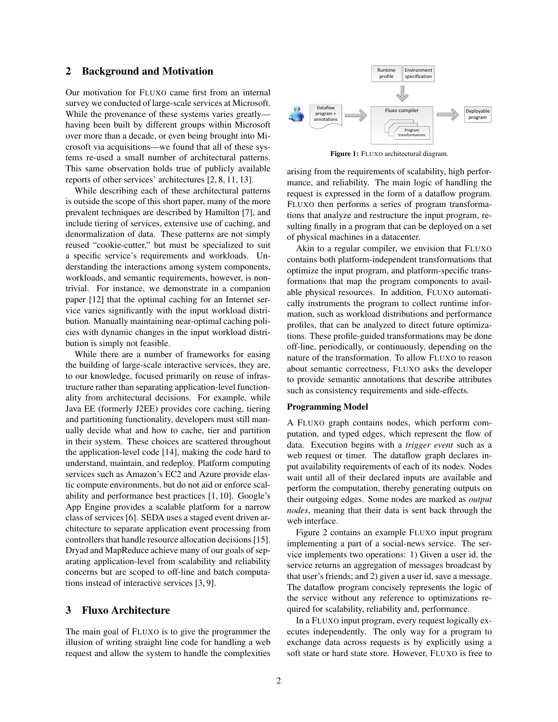### 2 Background and Motivation

Our motivation for FLUXO came first from an internal survey we conducted of large-scale services at Microsoft. While the provenance of these systems varies greatly having been built by different groups within Microsoft over more than a decade, or even being brought into Microsoft via acquisitions—we found that all of these systems re-used a small number of architectural patterns. This same observation holds true of publicly available reports of other services' architectures [2, 8, 11, 13].

While describing each of these architectural patterns is outside the scope of this short paper, many of the more prevalent techniques are described by Hamilton [7], and include tiering of services, extensive use of caching, and denormalization of data. These patterns are not simply reused "cookie-cutter," but must be specialized to suit a specific service's requirements and workloads. Understanding the interactions among system components, workloads, and semantic requirements, however, is nontrivial. For instance, we demonstrate in a companion paper [12] that the optimal caching for an Internet service varies significantly with the input workload distribution. Manually maintaining near-optimal caching policies with dynamic changes in the input workload distribution is simply not feasible.

While there are a number of frameworks for easing the building of large-scale interactive services, they are, to our knowledge, focused primarily on reuse of infrastructure rather than separating application-level functionality from architectural decisions. For example, while Java EE (formerly J2EE) provides core caching, tiering and partitioning functionality, developers must still manually decide what and how to cache, tier and partition in their system. These choices are scattered throughout the application-level code [14], making the code hard to understand, maintain, and redeploy. Platform computing services such as Amazon's EC2 and Azure provide elastic compute environments, but do not aid or enforce scalability and performance best practices [1, 10]. Google's App Engine provides a scalable platform for a narrow class of services [6]. SEDA uses a staged event driven architecture to separate application event processing from controllers that handle resource allocation decisions [15]. Dryad and MapReduce achieve many of our goals of separating application-level from scalability and reliability concerns but are scoped to off-line and batch computations instead of interactive services [3, 9].

### 3 Fluxo Architecture

The main goal of FLUXO is to give the programmer the illusion of writing straight line code for handling a web request and allow the system to handle the complexities



Figure 1: FLUXO architectural diagram.

arising from the requirements of scalability, high performance, and reliability. The main logic of handling the request is expressed in the form of a dataflow program. FLUXO then performs a series of program transformations that analyze and restructure the input program, resulting finally in a program that can be deployed on a set of physical machines in a datacenter.

Akin to a regular compiler, we envision that FLUXO contains both platform-independent transformations that optimize the input program, and platform-specific transformations that map the program components to available physical resources. In addition, FLUXO automatically instruments the program to collect runtime information, such as workload distributions and performance profiles, that can be analyzed to direct future optimizations. These profile-guided transformations may be done off-line, periodically, or continuously, depending on the nature of the transformation. To allow FLUXO to reason about semantic correctness, FLUXO asks the developer to provide semantic annotations that describe attributes such as consistency requirements and side-effects.

#### Programming Model

A FLUXO graph contains nodes, which perform computation, and typed edges, which represent the flow of data. Execution begins with a *trigger event* such as a web request or timer. The dataflow graph declares input availability requirements of each of its nodes. Nodes wait until all of their declared inputs are available and perform the computation, thereby generating outputs on their outgoing edges. Some nodes are marked as *output nodes*, meaning that their data is sent back through the web interface.

Figure 2 contains an example FLUXO input program implementing a part of a social-news service. The service implements two operations: 1) Given a user id, the service returns an aggregation of messages broadcast by that user's friends; and 2) given a user id, save a message. The dataflow program concisely represents the logic of the service without any reference to optimizations required for scalability, reliability and, performance.

In a FLUXO input program, every request logically executes independently. The only way for a program to exchange data across requests is by explicitly using a soft state or hard state store. However, FLUXO is free to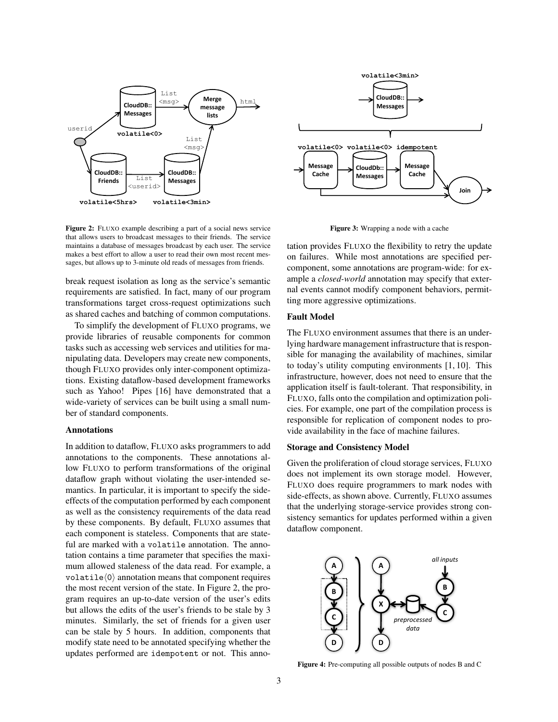

Figure 2: FLUXO example describing a part of a social news service that allows users to broadcast messages to their friends. The service maintains a database of messages broadcast by each user. The service makes a best effort to allow a user to read their own most recent messages, but allows up to 3-minute old reads of messages from friends.

break request isolation as long as the service's semantic requirements are satisfied. In fact, many of our program transformations target cross-request optimizations such as shared caches and batching of common computations.

To simplify the development of FLUXO programs, we provide libraries of reusable components for common tasks such as accessing web services and utilities for manipulating data. Developers may create new components, though FLUXO provides only inter-component optimizations. Existing dataflow-based development frameworks such as Yahoo! Pipes [16] have demonstrated that a wide-variety of services can be built using a small number of standard components.

#### Annotations

In addition to dataflow, FLUXO asks programmers to add annotations to the components. These annotations allow FLUXO to perform transformations of the original dataflow graph without violating the user-intended semantics. In particular, it is important to specify the sideeffects of the computation performed by each component as well as the consistency requirements of the data read by these components. By default, FLUXO assumes that each component is stateless. Components that are stateful are marked with a volatile annotation. The annotation contains a time parameter that specifies the maximum allowed staleness of the data read. For example, a volatile $\langle 0 \rangle$  annotation means that component requires the most recent version of the state. In Figure 2, the program requires an up-to-date version of the user's edits but allows the edits of the user's friends to be stale by 3 minutes. Similarly, the set of friends for a given user can be stale by 5 hours. In addition, components that modify state need to be annotated specifying whether the updates performed are idempotent or not. This anno-



Figure 3: Wrapping a node with a cache

tation provides FLUXO the flexibility to retry the update on failures. While most annotations are specified percomponent, some annotations are program-wide: for example a *closed-world* annotation may specify that external events cannot modify component behaviors, permitting more aggressive optimizations.

#### Fault Model

The FLUXO environment assumes that there is an underlying hardware management infrastructure that is responsible for managing the availability of machines, similar to today's utility computing environments [1, 10]. This infrastructure, however, does not need to ensure that the application itself is fault-tolerant. That responsibility, in FLUXO, falls onto the compilation and optimization policies. For example, one part of the compilation process is responsible for replication of component nodes to provide availability in the face of machine failures.

#### Storage and Consistency Model

Given the proliferation of cloud storage services, FLUXO does not implement its own storage model. However, FLUXO does require programmers to mark nodes with side-effects, as shown above. Currently, FLUXO assumes that the underlying storage-service provides strong consistency semantics for updates performed within a given dataflow component.



Figure 4: Pre-computing all possible outputs of nodes B and C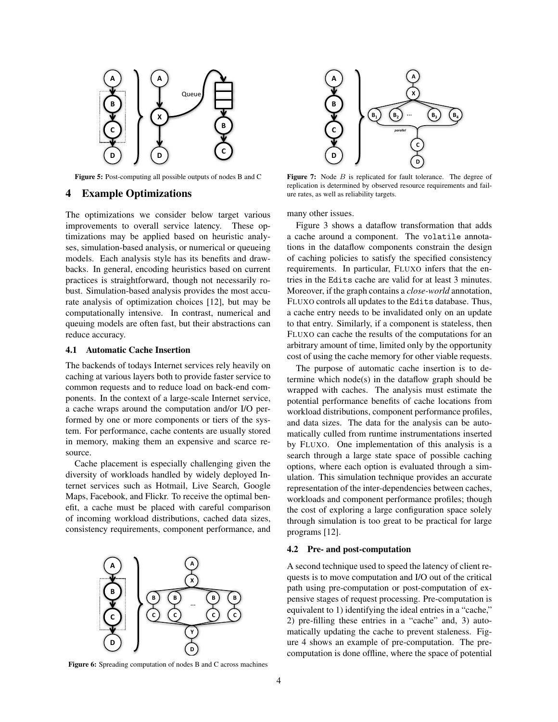

Figure 5: Post-computing all possible outputs of nodes B and C

## 4 Example Optimizations

The optimizations we consider below target various improvements to overall service latency. These optimizations may be applied based on heuristic analyses, simulation-based analysis, or numerical or queueing models. Each analysis style has its benefits and drawbacks. In general, encoding heuristics based on current practices is straightforward, though not necessarily robust. Simulation-based analysis provides the most accurate analysis of optimization choices [12], but may be computationally intensive. In contrast, numerical and queuing models are often fast, but their abstractions can reduce accuracy.

#### 4.1 Automatic Cache Insertion

The backends of todays Internet services rely heavily on caching at various layers both to provide faster service to common requests and to reduce load on back-end components. In the context of a large-scale Internet service, a cache wraps around the computation and/or I/O performed by one or more components or tiers of the system. For performance, cache contents are usually stored in memory, making them an expensive and scarce resource.

Cache placement is especially challenging given the diversity of workloads handled by widely deployed Internet services such as Hotmail, Live Search, Google Maps, Facebook, and Flickr. To receive the optimal benefit, a cache must be placed with careful comparison of incoming workload distributions, cached data sizes, consistency requirements, component performance, and



Figure 6: Spreading computation of nodes B and C across machines



Figure 7: Node  $B$  is replicated for fault tolerance. The degree of replication is determined by observed resource requirements and failure rates, as well as reliability targets.

many other issues.

Figure 3 shows a dataflow transformation that adds a cache around a component. The volatile annotations in the dataflow components constrain the design of caching policies to satisfy the specified consistency requirements. In particular, FLUXO infers that the entries in the Edits cache are valid for at least 3 minutes. Moreover, if the graph contains a *close-world* annotation, FLUXO controls all updates to the Edits database. Thus, a cache entry needs to be invalidated only on an update to that entry. Similarly, if a component is stateless, then FLUXO can cache the results of the computations for an arbitrary amount of time, limited only by the opportunity cost of using the cache memory for other viable requests.

The purpose of automatic cache insertion is to determine which node(s) in the dataflow graph should be wrapped with caches. The analysis must estimate the potential performance benefits of cache locations from workload distributions, component performance profiles, and data sizes. The data for the analysis can be automatically culled from runtime instrumentations inserted by FLUXO. One implementation of this analysis is a search through a large state space of possible caching options, where each option is evaluated through a simulation. This simulation technique provides an accurate representation of the inter-dependencies between caches, workloads and component performance profiles; though the cost of exploring a large configuration space solely through simulation is too great to be practical for large programs [12].

#### 4.2 Pre- and post-computation

A second technique used to speed the latency of client requests is to move computation and I/O out of the critical path using pre-computation or post-computation of expensive stages of request processing. Pre-computation is equivalent to 1) identifying the ideal entries in a "cache," 2) pre-filling these entries in a "cache" and, 3) automatically updating the cache to prevent staleness. Figure 4 shows an example of pre-computation. The precomputation is done offline, where the space of potential